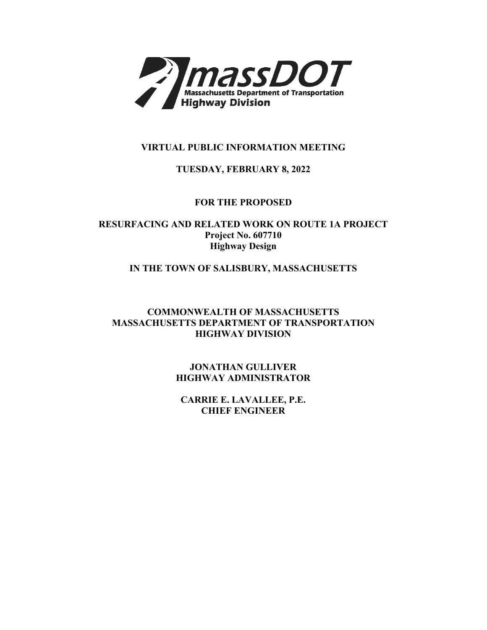

## **VIRTUAL PUBLIC INFORMATION MEETING**

## **TUESDAY, FEBRUARY 8, 2022**

## **FOR THE PROPOSED**

**RESURFACING AND RELATED WORK ON ROUTE 1A PROJECT Project No. 607710 Highway Design** 

## **IN THE TOWN OF SALISBURY, MASSACHUSETTS**

## **COMMONWEALTH OF MASSACHUSETTS MASSACHUSETTS DEPARTMENT OF TRANSPORTATION HIGHWAY DIVISION**

**JONATHAN GULLIVER HIGHWAY ADMINISTRATOR** 

**CARRIE E. LAVALLEE, P.E. CHIEF ENGINEER**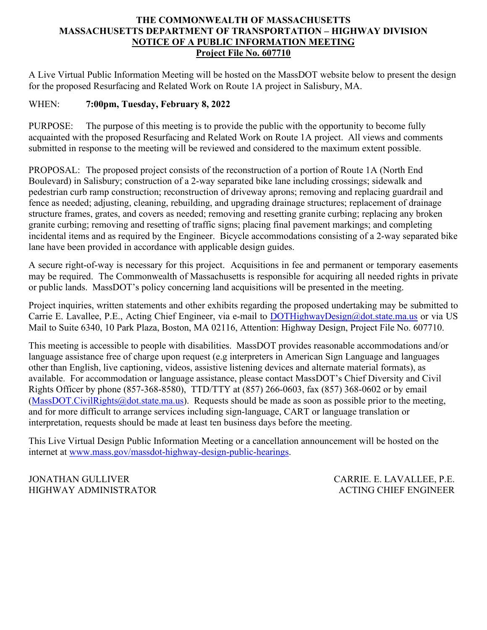## **THE COMMONWEALTH OF MASSACHUSETTS MASSACHUSETTS DEPARTMENT OF TRANSPORTATION – HIGHWAY DIVISION NOTICE OF A PUBLIC INFORMATION MEETING Project File No. 607710**

A Live Virtual Public Information Meeting will be hosted on the MassDOT website below to present the design for the proposed Resurfacing and Related Work on Route 1A project in Salisbury, MA.

#### WHEN: WHEN: **7:00pm, Tuesday, February 8, 2022**

PURPOSE: submitted in response to the meeting will be reviewed and considered to the maximum extent possible. The purpose of this meeting is to provide the public with the opportunity to become fully acquainted with the proposed Resurfacing and Related Work on Route 1A project. All views and comments

 PROPOSAL: The proposed project consists of the reconstruction of a portion of Route 1A (North End incidental items and as required by the Engineer. Bicycle accommodations consisting of a 2-way separated bike Boulevard) in Salisbury; construction of a 2-way separated bike lane including crossings; sidewalk and pedestrian curb ramp construction; reconstruction of driveway aprons; removing and replacing guardrail and fence as needed; adjusting, cleaning, rebuilding, and upgrading drainage structures; replacement of drainage structure frames, grates, and covers as needed; removing and resetting granite curbing; replacing any broken granite curbing; removing and resetting of traffic signs; placing final pavement markings; and completing lane have been provided in accordance with applicable design guides.

 A secure right-of-way is necessary for this project. Acquisitions in fee and permanent or temporary easements may be required. The Commonwealth of Massachusetts is responsible for acquiring all needed rights in private or public lands. MassDOT's policy concerning land acquisitions will be presented in the meeting.

 Project inquiries, written statements and other exhibits regarding the proposed undertaking may be submitted to Carrie E. Lavallee, P.E., Acting Chief Engineer, via e-mail to [DOTHighwayDesign@dot.state.ma.us](mailto:DOTHighwayDesign@dot.state.ma.us) or via US Mail to Suite 6340, 10 Park Plaza, Boston, MA 02116, Attention: Highway Design, Project File No. 607710.

 This meeting is accessible to people with disabilities. MassDOT provides reasonable accommodations and/or available. For accommodation or language assistance, please contact MassDOT's Chief Diversity and Civil Rights Officer by phone (857-368-8580), TTD/TTY at (857) 266-0603, fax (857) 368-0602 or by email [\(MassDOT.CivilRights@dot.state.ma.us\)](mailto:MassDOT.CivilRights@dot.state.ma.us). Requests should be made as soon as possible prior to the meeting, interpretation, requests should be made at least ten business days before the meeting. language assistance free of charge upon request (e.g interpreters in American Sign Language and languages other than English, live captioning, videos, assistive listening devices and alternate material formats), as and for more difficult to arrange services including sign-language, CART or language translation or

This Live Virtual Design Public Information Meeting or a cancellation announcement will be hosted on the internet at [www.mass.gov/massdot-highway-design-public-hearings.](http://www.mass.gov/massdot-highway-design-public-hearings)

**JONATHAN GULLIVER** HIGHWAY ADMINISTRATOR ACTING CHIEF ENGINEER

CARRIE. E. LAVALLEE, P.E.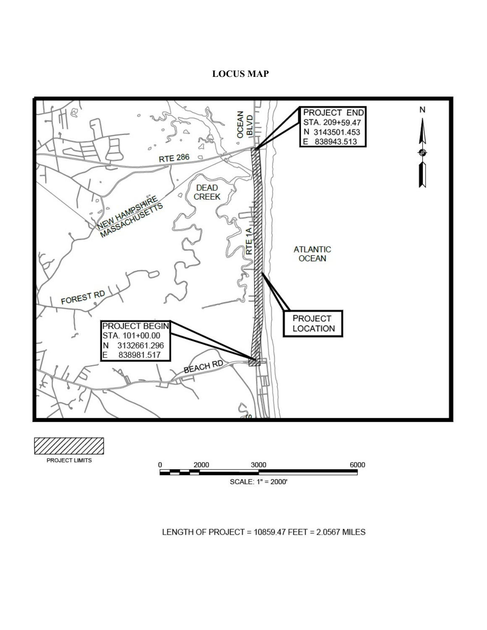#### **LOCUS MAP**





LENGTH OF PROJECT = 10859.47 FEET = 2.0567 MILES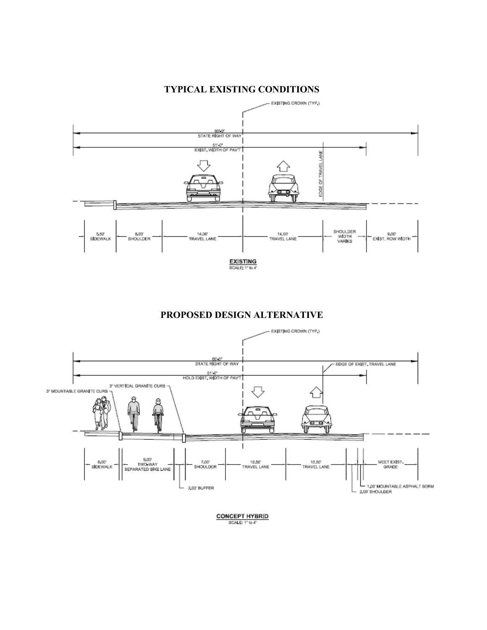

## **TYPICAL EXISTING CONDITIONS**

**PROPOSED DESIGN ALTERNATIVE**



**CONCEPT HYBRID** SCALE: 1" to 4"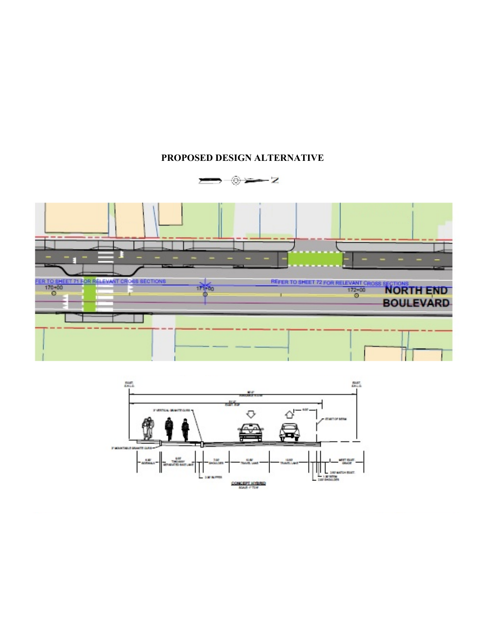## **PROPOSED DESIGN ALTERNATIVE**



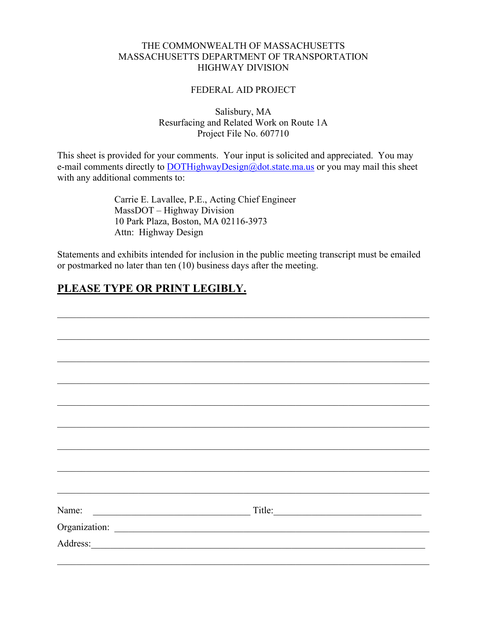## THE COMMONWEALTH OF MASSACHUSETTS MASSACHUSETTS DEPARTMENT OF TRANSPORTATION HIGHWAY DIVISION

### FEDERAL AID PROJECT

Salisbury, MA Resurfacing and Related Work on Route 1A Project File No. 607710

This sheet is provided for your comments. Your input is solicited and appreciated. You may e-mail comments directly to **DOTHighwayDesign@dot.state.ma.us** or you may mail this sheet with any additional comments to:

> Carrie E. Lavallee, P.E., Acting Chief Engineer MassDOT – Highway Division 10 Park Plaza, Boston, MA 02116-3973 Attn: Highway Design

Statements and exhibits intended for inclusion in the public meeting transcript must be emailed or postmarked no later than ten (10) business days after the meeting.

# **PLEASE TYPE OR PRINT LEGIBLY.**

| Address:<br><u> 1980 - Andrea Andrew Maria (h. 1980).</u> |  |
|-----------------------------------------------------------|--|
|                                                           |  |
|                                                           |  |